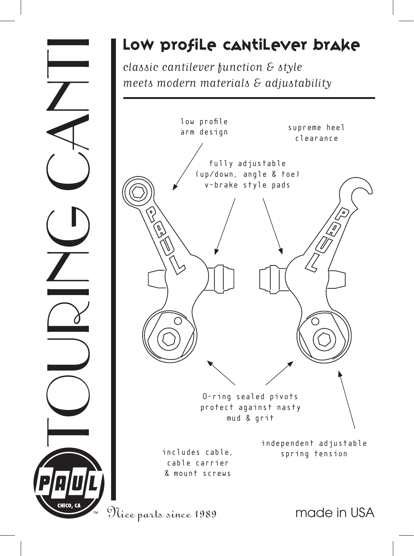## Low profile cantilever brake<br>
classic cantilever function & style<br>
meets modern materials & adjustability<br>
tou profile<br>
the distribution, angle & the classic<br>
(by distribution), angle & the profile<br>
(by distribution), and classic cantilever function & style meets modern materials & adjustability made in USA O-ring sealed pivots protect against nasty mud & grit fully adjustable (up/down, angle & toe) v-brake style pads supreme heel clearance low profile arm design independent adjustable includes cable, includes cable, cable carrier & mount screws Nice parts since 1989